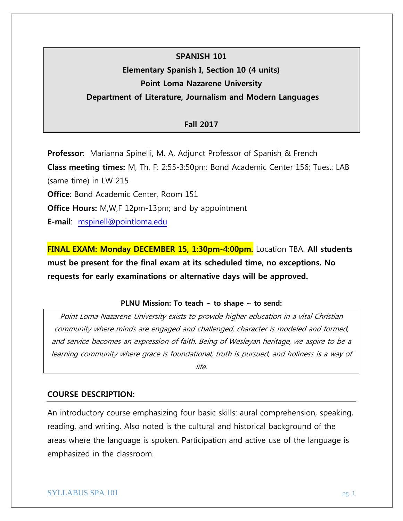# **SPANISH 101**

# **Elementary Spanish I, Section 10 (4 units)**

# **Point Loma Nazarene University**

# **Department of Literature, Journalism and Modern Languages**

# **Fall 2017**

**Professor**: Marianna Spinelli, M. A. Adjunct Professor of Spanish & French **Class meeting times:** M, Th, F: 2:55-3:50pm: Bond Academic Center 156; Tues.: LAB (same time) in LW 215 **Office**: Bond Academic Center, Room 151 **Office Hours:** M,W,F 12pm-13pm; and by appointment **E-mail**: [mspinell@pointloma.edu](mailto:mspinell@pointloma.edu)

**FINAL EXAM: Monday DECEMBER 15, 1:30pm-4:00pm.** Location TBA. **All students must be present for the final exam at its scheduled time, no exceptions. No requests for early examinations or alternative days will be approved.**

# **PLNU Mission: To teach ~ to shape ~ to send:**

Point Loma Nazarene University exists to provide higher education in a vital Christian community where minds are engaged and challenged, character is modeled and formed, and service becomes an expression of faith. Being of Wesleyan heritage, we aspire to be a learning community where grace is foundational, truth is pursued, and holiness is a way of

life.

# **COURSE DESCRIPTION:**

An introductory course emphasizing four basic skills: aural comprehension, speaking, reading, and writing. Also noted is the cultural and historical background of the areas where the language is spoken. Participation and active use of the language is emphasized in the classroom.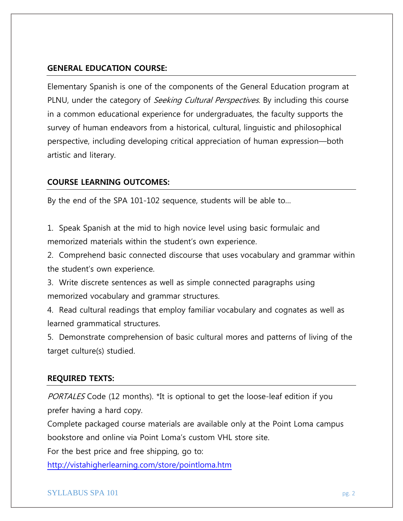# **GENERAL EDUCATION COURSE:**

Elementary Spanish is one of the components of the General Education program at PLNU, under the category of *Seeking Cultural Perspectives*. By including this course in a common educational experience for undergraduates, the faculty supports the survey of human endeavors from a historical, cultural, linguistic and philosophical perspective, including developing critical appreciation of human expression—both artistic and literary.

# **COURSE LEARNING OUTCOMES:**

By the end of the SPA 101-102 sequence, students will be able to…

1. Speak Spanish at the mid to high novice level using basic formulaic and memorized materials within the student's own experience.

2. Comprehend basic connected discourse that uses vocabulary and grammar within the student's own experience.

3. Write discrete sentences as well as simple connected paragraphs using memorized vocabulary and grammar structures.

4. Read cultural readings that employ familiar vocabulary and cognates as well as learned grammatical structures.

5. Demonstrate comprehension of basic cultural mores and patterns of living of the target culture(s) studied.

#### **REQUIRED TEXTS:**

PORTALES Code (12 months). \*It is optional to get the loose-leaf edition if you prefer having a hard copy.

Complete packaged course materials are available only at the Point Loma campus bookstore and online via Point Loma's custom VHL store site.

For the best price and free shipping, go to:

<http://vistahigherlearning.com/store/pointloma.htm>

#### $SYLLABUS SPA 101$  pg. 2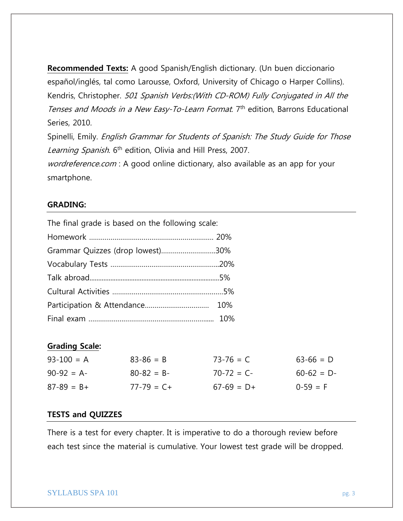**Recommended Texts:** A good Spanish/English dictionary. (Un buen diccionario español/inglés, tal como Larousse, Oxford, University of Chicago o Harper Collins). Kendris, Christopher. 501 Spanish Verbs:(With CD-ROM) Fully Conjugated in All the Tenses and Moods in a New Easy-To-Learn Format. 7<sup>th</sup> edition, Barrons Educational Series, 2010.

Spinelli, Emily. English Grammar for Students of Spanish: The Study Guide for Those Learning Spanish. 6<sup>th</sup> edition, Olivia and Hill Press, 2007.

wordreference.com : A good online dictionary, also available as an app for your smartphone.

### **GRADING:**

The final grade is based on the following scale:

| Grammar Quizzes (drop lowest)30% |  |
|----------------------------------|--|
|                                  |  |
|                                  |  |
|                                  |  |
|                                  |  |
|                                  |  |

# **Grading Scale:**

| $93 - 100 = A$  | $83 - 86 = B$   | $73 - 76 = C$ | $63 - 66 = D$ |
|-----------------|-----------------|---------------|---------------|
| $90-92 = A$     | $80 - 82 = B -$ | $70-72 = C$   | $60-62 = D$   |
| $87 - 89 = B +$ | $77 - 79 = C +$ | $67-69 = D+$  | $0-59 = F$    |

#### **TESTS and QUIZZES**

There is a test for every chapter. It is imperative to do a thorough review before each test since the material is cumulative. Your lowest test grade will be dropped.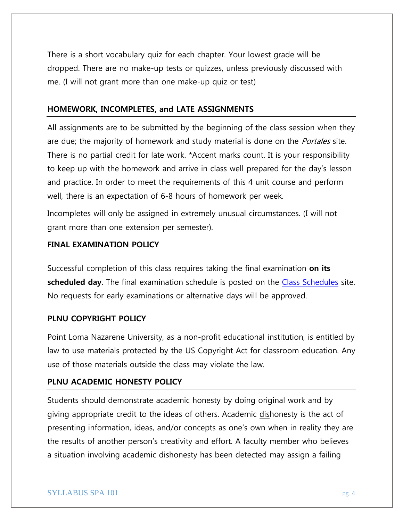There is a short vocabulary quiz for each chapter. Your lowest grade will be dropped. There are no make-up tests or quizzes, unless previously discussed with me. (I will not grant more than one make-up quiz or test)

### **HOMEWORK, INCOMPLETES, and LATE ASSIGNMENTS**

All assignments are to be submitted by the beginning of the class session when they are due; the majority of homework and study material is done on the *Portales* site. There is no partial credit for late work. \*Accent marks count. It is your responsibility to keep up with the homework and arrive in class well prepared for the day's lesson and practice. In order to meet the requirements of this 4 unit course and perform well, there is an expectation of 6-8 hours of homework per week.

Incompletes will only be assigned in extremely unusual circumstances. (I will not grant more than one extension per semester).

#### **FINAL EXAMINATION POLICY**

Successful completion of this class requires taking the final examination **on its scheduled day**. The final examination schedule is posted on the [Class Schedules](http://www.pointloma.edu/experience/academics/class-schedules) site. No requests for early examinations or alternative days will be approved.

# **PLNU COPYRIGHT POLICY**

Point Loma Nazarene University, as a non-profit educational institution, is entitled by law to use materials protected by the US Copyright Act for classroom education. Any use of those materials outside the class may violate the law.

### **PLNU ACADEMIC HONESTY POLICY**

Students should demonstrate academic honesty by doing original work and by giving appropriate credit to the ideas of others. Academic dishonesty is the act of presenting information, ideas, and/or concepts as one's own when in reality they are the results of another person's creativity and effort. A faculty member who believes a situation involving academic dishonesty has been detected may assign a failing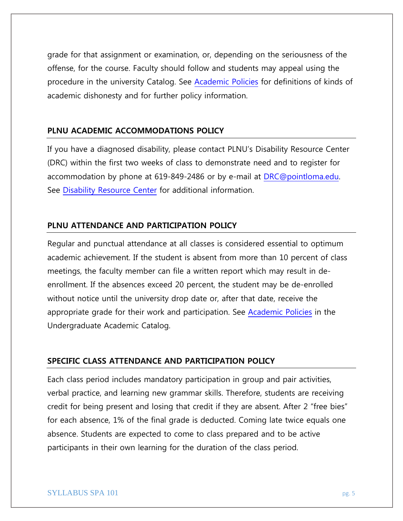grade for that assignment or examination, or, depending on the seriousness of the offense, for the course. Faculty should follow and students may appeal using the procedure in the university Catalog. See [Academic Policies](http://catalog.pointloma.edu/content.php?catoid=18&navoid=1278) for definitions of kinds of academic dishonesty and for further policy information.

### **PLNU ACADEMIC ACCOMMODATIONS POLICY**

If you have a diagnosed disability, please contact PLNU's Disability Resource Center (DRC) within the first two weeks of class to demonstrate need and to register for accommodation by phone at 619-849-2486 or by e-mail at [DRC@pointloma.edu.](mailto:DRC@pointloma.edu) See [Disability Resource Center](http://www.pointloma.edu/experience/offices/administrative-offices/academic-advising-office/disability-resource-center) for additional information.

# **PLNU ATTENDANCE AND PARTICIPATION POLICY**

Regular and punctual attendance at all classes is considered essential to optimum academic achievement. If the student is absent from more than 10 percent of class meetings, the faculty member can file a written report which may result in deenrollment. If the absences exceed 20 percent, the student may be de-enrolled without notice until the university drop date or, after that date, receive the appropriate grade for their work and participation. See [Academic Policies](http://catalog.pointloma.edu/content.php?catoid=18&navoid=1278) in the Undergraduate Academic Catalog.

### **SPECIFIC CLASS ATTENDANCE AND PARTICIPATION POLICY**

Each class period includes mandatory participation in group and pair activities, verbal practice, and learning new grammar skills. Therefore, students are receiving credit for being present and losing that credit if they are absent. After 2 "free bies" for each absence, 1% of the final grade is deducted. Coming late twice equals one absence. Students are expected to come to class prepared and to be active participants in their own learning for the duration of the class period.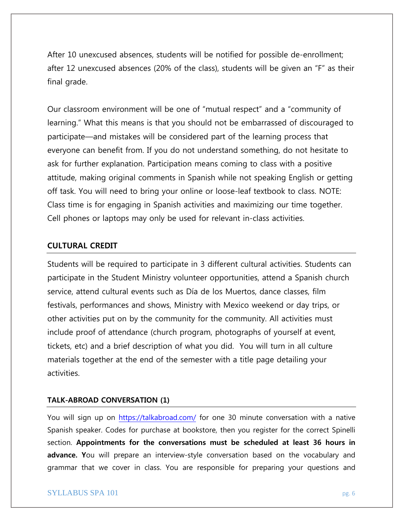After 10 unexcused absences, students will be notified for possible de-enrollment; after 12 unexcused absences (20% of the class), students will be given an "F" as their final grade.

Our classroom environment will be one of "mutual respect" and a "community of learning." What this means is that you should not be embarrassed of discouraged to participate—and mistakes will be considered part of the learning process that everyone can benefit from. If you do not understand something, do not hesitate to ask for further explanation. Participation means coming to class with a positive attitude, making original comments in Spanish while not speaking English or getting off task. You will need to bring your online or loose-leaf textbook to class. NOTE: Class time is for engaging in Spanish activities and maximizing our time together. Cell phones or laptops may only be used for relevant in-class activities.

### **CULTURAL CREDIT**

Students will be required to participate in 3 different cultural activities. Students can participate in the Student Ministry volunteer opportunities, attend a Spanish church service, attend cultural events such as Día de los Muertos, dance classes, film festivals, performances and shows, Ministry with Mexico weekend or day trips, or other activities put on by the community for the community. All activities must include proof of attendance (church program, photographs of yourself at event, tickets, etc) and a brief description of what you did. You will turn in all culture materials together at the end of the semester with a title page detailing your activities.

#### **TALK-ABROAD CONVERSATION (1)**

You will sign up on<https://talkabroad.com/> for one 30 minute conversation with a native Spanish speaker. Codes for purchase at bookstore, then you register for the correct Spinelli section. **Appointments for the conversations must be scheduled at least 36 hours in advance. Y**ou will prepare an interview-style conversation based on the vocabulary and grammar that we cover in class. You are responsible for preparing your questions and

#### SYLLABUS SPA 101 pg. 6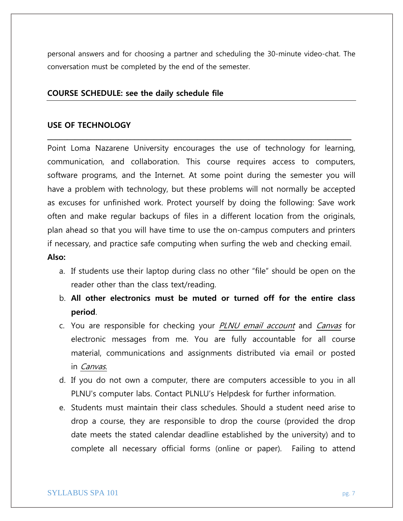personal answers and for choosing a partner and scheduling the 30-minute video-chat. The conversation must be completed by the end of the semester.

# **COURSE SCHEDULE: see the daily schedule file**

### **USE OF TECHNOLOGY**

Point Loma Nazarene University encourages the use of technology for learning, communication, and collaboration. This course requires access to computers, software programs, and the Internet. At some point during the semester you will have a problem with technology, but these problems will not normally be accepted as excuses for unfinished work. Protect yourself by doing the following: Save work often and make regular backups of files in a different location from the originals, plan ahead so that you will have time to use the on-campus computers and printers if necessary, and practice safe computing when surfing the web and checking email. **Also:**

**\_\_\_\_\_\_\_\_\_\_\_\_\_\_\_\_\_\_\_\_\_\_\_\_\_\_\_\_\_\_\_\_\_\_\_\_\_\_\_\_\_\_\_\_\_\_\_\_\_\_\_\_\_\_\_\_\_\_\_\_\_\_\_\_\_\_\_\_\_\_\_\_\_\_\_\_\_**

- a. If students use their laptop during class no other "file" should be open on the reader other than the class text/reading.
- b. **All other electronics must be muted or turned off for the entire class period**.
- c. You are responsible for checking your PLNU email account and Canvas for electronic messages from me. You are fully accountable for all course material, communications and assignments distributed via email or posted in Canvas.
- d. If you do not own a computer, there are computers accessible to you in all PLNU's computer labs. Contact PLNLU's Helpdesk for further information.
- e. Students must maintain their class schedules. Should a student need arise to drop a course, they are responsible to drop the course (provided the drop date meets the stated calendar deadline established by the university) and to complete all necessary official forms (online or paper). Failing to attend